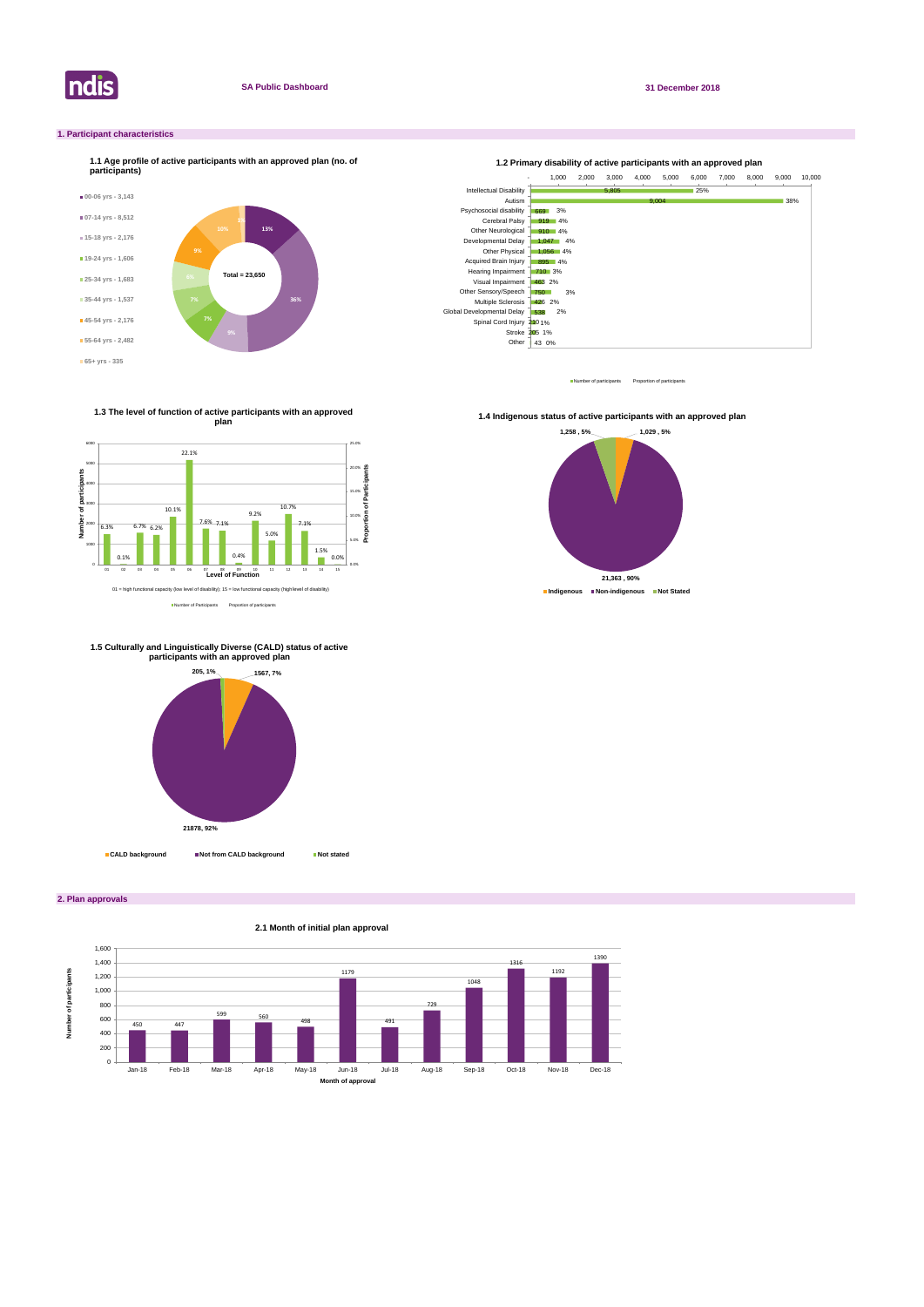

**2. Plan approvals**

# **1. Participant characteristics**



Number of participants Proportion of participant





Number of Participants Proportion of participants

**1.3 The level of function of active participants with an approved plan**



**1.4 Indigenous status of active participants with an approved plan** 





# **1.5 Culturally and Linguistically Diverse (CALD) status of active participants with an approved plan**

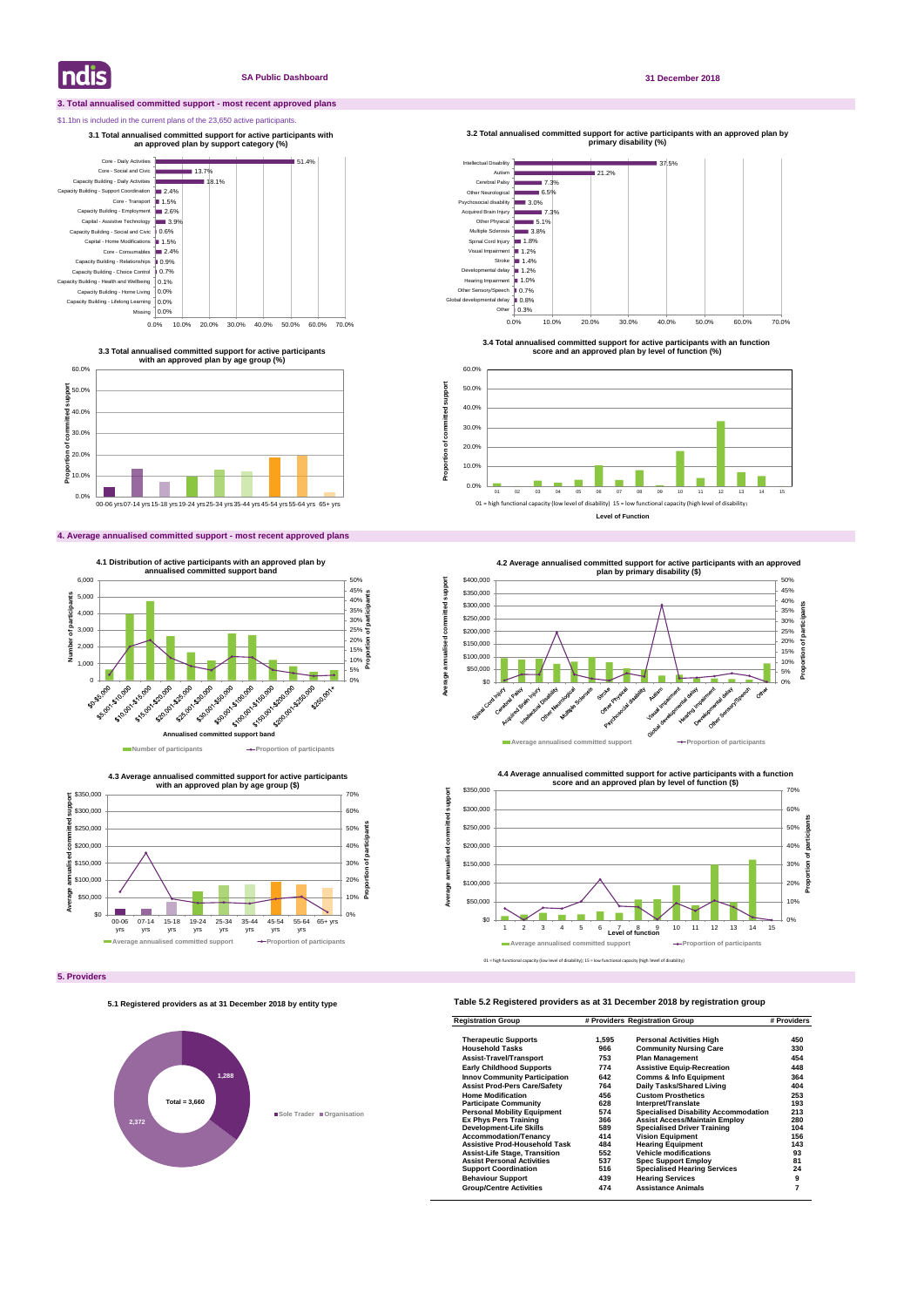# **3. Total annualised committed support - most recent approved plans**

# \$1.1bn is included in the current plans of the 23,650 active participants.

# **4. Average annualised committed support - most recent approved plans**

# **Table 5.2 Registered providers as at 31 December 2018 by registration group**

| <b>Registration Group</b><br><b>Therapeutic Supports</b> | # Providers Registration Group |                                             | # Providers |
|----------------------------------------------------------|--------------------------------|---------------------------------------------|-------------|
|                                                          | 1.595                          | <b>Personal Activities High</b>             | 450         |
| <b>Household Tasks</b>                                   | 966                            | <b>Community Nursing Care</b>               | 330         |
| <b>Assist-Travel/Transport</b>                           | 753                            | <b>Plan Management</b>                      | 454         |
| <b>Early Childhood Supports</b>                          | 774                            | <b>Assistive Equip-Recreation</b>           | 448         |
| <b>Innov Community Participation</b>                     | 642                            | <b>Comms &amp; Info Equipment</b>           | 364         |
| <b>Assist Prod-Pers Care/Safety</b>                      | 764                            | Daily Tasks/Shared Living                   | 404         |
| <b>Home Modification</b>                                 | 456                            | <b>Custom Prosthetics</b>                   | 253         |
| <b>Participate Community</b>                             | 628                            | Interpret/Translate                         | 193         |
| <b>Personal Mobility Equipment</b>                       | 574                            | <b>Specialised Disability Accommodation</b> | 213         |
| <b>Ex Phys Pers Training</b>                             | 366                            | <b>Assist Access/Maintain Employ</b>        | 280         |
| <b>Development-Life Skills</b>                           | 589                            | <b>Specialised Driver Training</b>          | 104         |
| <b>Accommodation/Tenancy</b>                             | 414                            | <b>Vision Equipment</b>                     | 156         |
| <b>Assistive Prod-Household Task</b>                     | 484                            | <b>Hearing Equipment</b>                    | 143         |
| <b>Assist-Life Stage, Transition</b>                     | 552                            | <b>Vehicle modifications</b>                | 93          |
| <b>Assist Personal Activities</b>                        | 537                            | <b>Spec Support Employ</b>                  | 81          |
| <b>Support Coordination</b>                              | 516                            | <b>Specialised Hearing Services</b>         | 24          |
| <b>Behaviour Support</b>                                 | 439                            | <b>Hearing Services</b>                     | 9           |
| <b>Group/Centre Activities</b>                           | 474                            | <b>Assistance Animals</b>                   | 7           |

**Indis** 

# **SA Public Dashboard 31 December 2018**





**3.3 Total annualised committed support for active participants with an approved plan by age group (%)**

**3.1 Total annualised committed support for active participants with an approved plan by support category (%)** 



**4.3 Average annualised committed support for active participants** 



**3.4 Total annualised committed support for active participants with an function score and an approved plan by level of function (%)**



**Proportion of committed support**

Proportion of committed

support



### **5.1 Registered providers as at 31 December 2018 by entity type**

# **1,288 2,372 Sole Trader Organisation Total = 3,660**

01 = high functional capacity (low level of disability); 15 = low functional capacity (high level of disability)

**Level of Function**





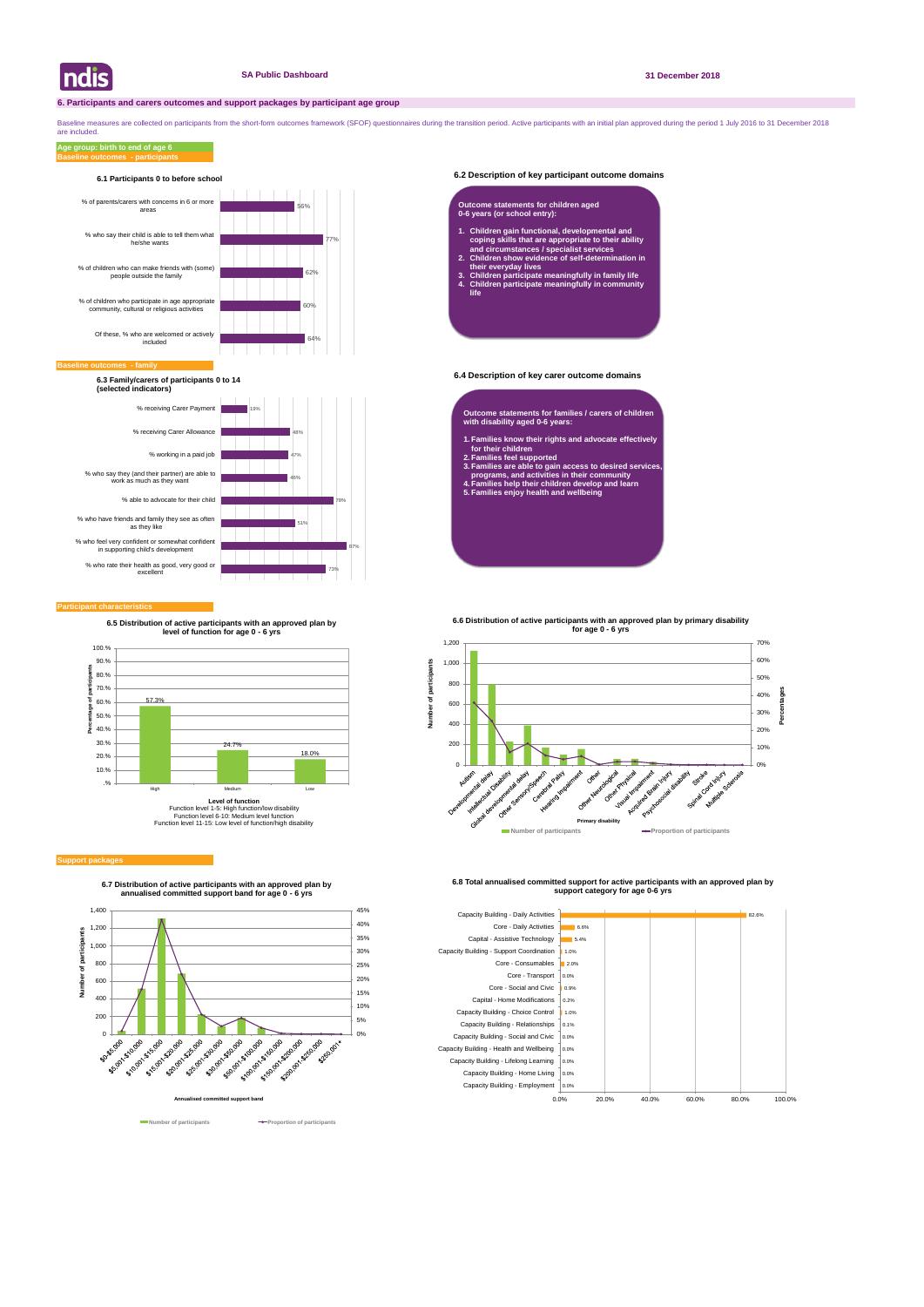# **6.2 Description of key participant outcome domains**

# **6.4 Description of key carer outcome domains**

#### **Participant characteristics**

Baseline measures are collected on participants from the short-form outcomes framework (SFOF) questionnaires during the transition period. Active participants with an initial plan approved during the period 1 July 2016 to are included.

## **Baseline outcomes - participants Age group: birth to end of age 6**





**6.7 Distribution of active participants with an approved plan by annualised committed support band for age 0 - 6 yrs**





**6.8 Total annualised committed support for active participants with an approved plan by support category for age 0-6 yrs** 





#### **Baseline of**

**6.3 Family/carers of participants 0 to 14 (selected indicators)**

- **Outcome statements for families / carers of children with disability aged 0-6 years:**
- **1. Families know their rights and advocate effectively for their children**
- **2. Families feel supported**
- **3. Families are able to gain access to desired services, programs, and activities in their community**
- **4. Families help their children develop and learn 5. Families enjoy health and wellbeing**

### **Outcome statements for children aged 0-6 years (or school entry):**

- **1. Children gain functional, developmental and coping skills that are appropriate to their ability and circumstances / specialist services**
- **2. Children show evidence of self-determination in their everyday lives**
- **3. Children participate meaningfully in family life 4. Children participate meaningfully in community life**



#### **Support package**

**6.5 Distribution of active participants with an approved plan by level of function for age 0 - 6 yrs**



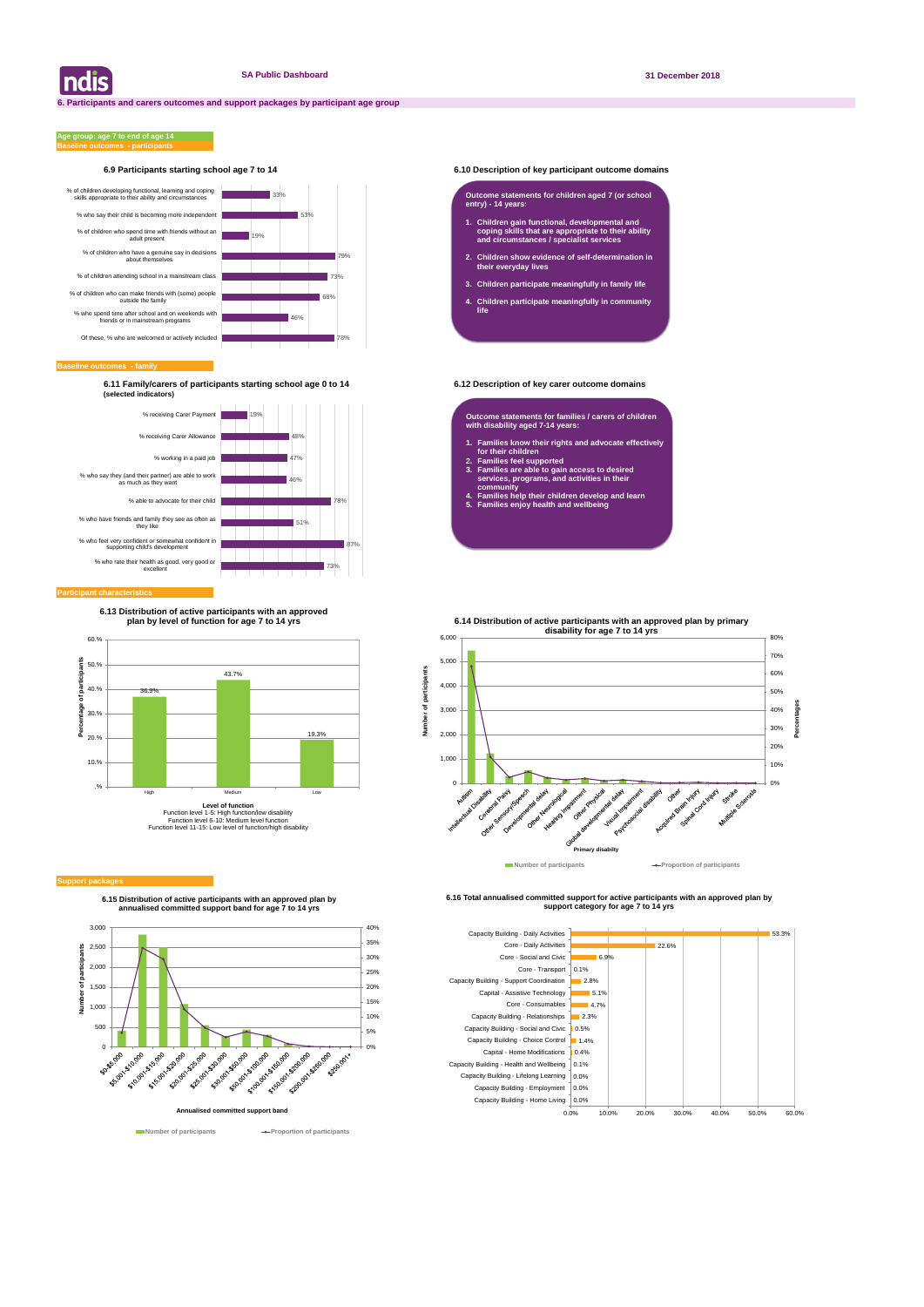# **6.9 Participants starting school age 7 to 14 6.10 Description of key participant outcome domains**

#### **Baseline outcomes - family**

### **Baseline outcomes - participants Age group: age 7 to end of age 14**

**6.11 Family/carers of participants starting school age 0 to 14 6.12 Description of key carer outcome domains (selected indicators)**

| ndis



**6.15 Distribution of active participants with an approved plan by annualised committed support band for age 7 to 14 yrs**



**Number of participants Proportion of participants** 

**6.16 Total annualised committed support for active participants with an approved plan by support category for age 7 to 14 yrs** 





### **Participant characteristic**

## **Outcome statements for children aged 7 (or school entry) - 14 years:**

- **1. Children gain functional, developmental and coping skills that are appropriate to their ability and circumstances / specialist services**
- **2. Children show evidence of self-determination in their everyday lives**
- **3. Children participate meaningfully in family life**
- **4. Children participate meaningfully in community life**

**Outcome statements for families / carers of children with disability aged 7-14 years:**

- **1. Families know their rights and advocate effectively for their children**
- **2. Families feel supported**

ris

Number

- **3. Families are able to gain access to desired services, programs, and activities in their community**
- **4. Families help their children develop and learn**
- **5. Families enjoy health and wellbeing**



#### **Support packa**

**6.13 Distribution of active participants with an approved plan by level of function for age 7 to 14 yrs**

**6.14 Distribution of active participants with an approved plan by primary** 

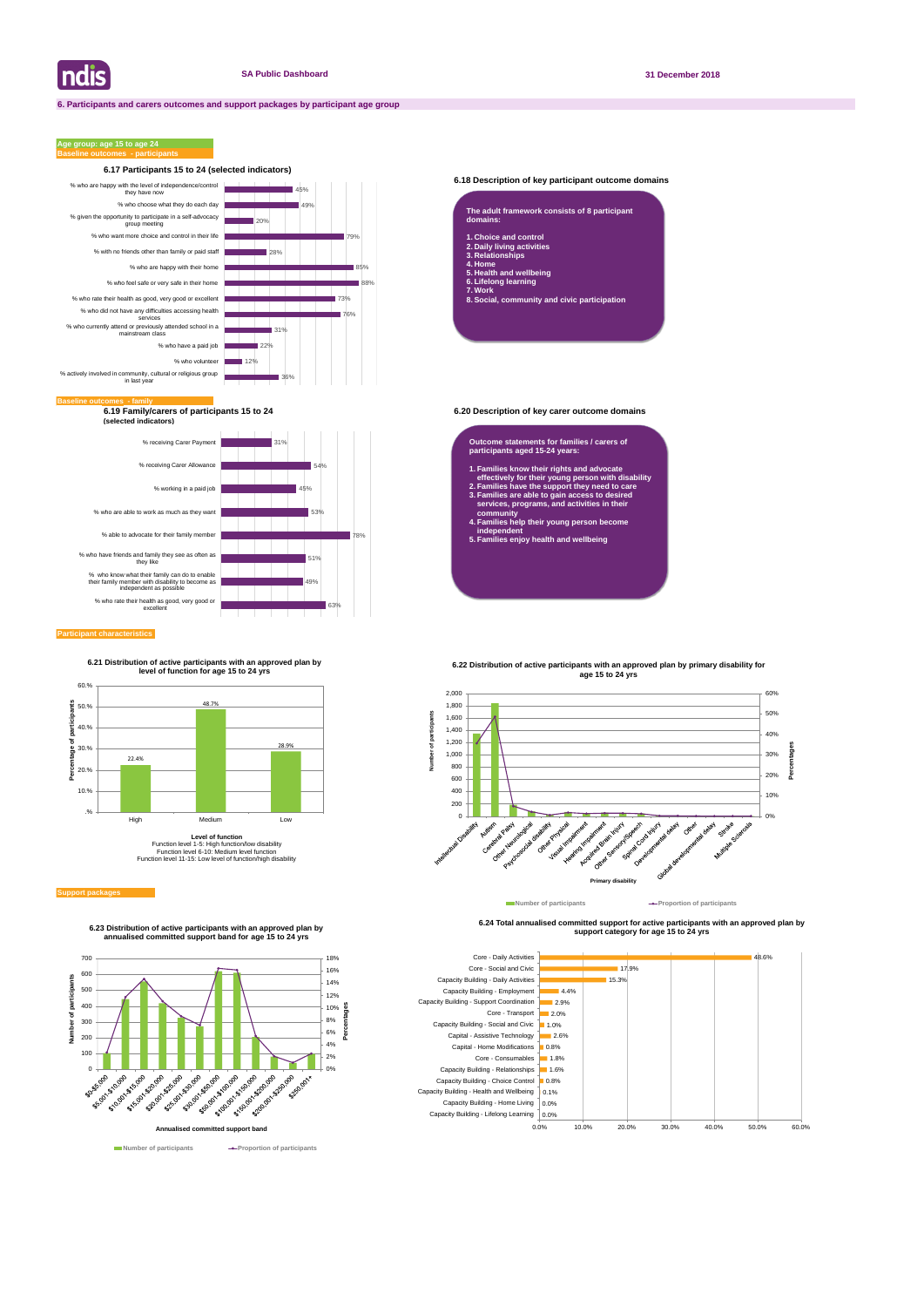# **6.18 Description of key participant outcome domains**

**6.19 Family/carers of participants 15 to 24 6.20 Description of key carer outcome domains (selected indicators)**

### **Participant characteristics**

# **Age group: age 15 to age 24**

#### **Support packages**



**6.24 Total annualised committed support for active participants with an approved plan by support category for age 15 to 24 yrs** 







**8. Social, community and civic participation**

#### **Outcome statements for families / carers of participants aged 15-24 years:**

- **1. Families know their rights and advocate effectively for their young person with disability**
- **2. Families have the support they need to care 3. Families are able to gain access to desired services, programs, and activities in their**
- **community 4. Families help their young person become independent**
- **5. Families enjoy health and wellbeing**





**6.23 Distribution of active participants with an approved plan by annualised committed support band for age 15 to 24 yrs**

**6.21 Distribution of active participants with an approved plan by level of function for age 15 to 24 yrs**



**Level of function** Function level 1-5: High function/low disability Function level 6-10: Medium level function Function level 11-15: Low level of function/high disability



**Number of participants Proportion of participants**